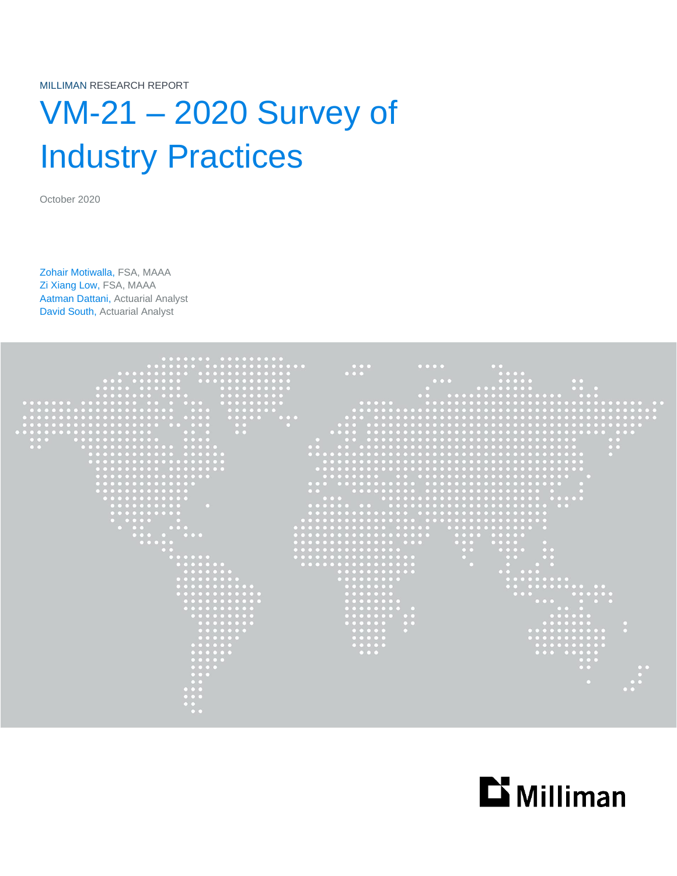MILLIMAN RESEARCH REPORT

# VM-21 – 2020 Survey of Industry Practices

October 2020

Zohair Motiwalla, FSA, MAAA Zi Xiang Low, FSA, MAAA Aatman Dattani, Actuarial Analyst David South, Actuarial Analyst



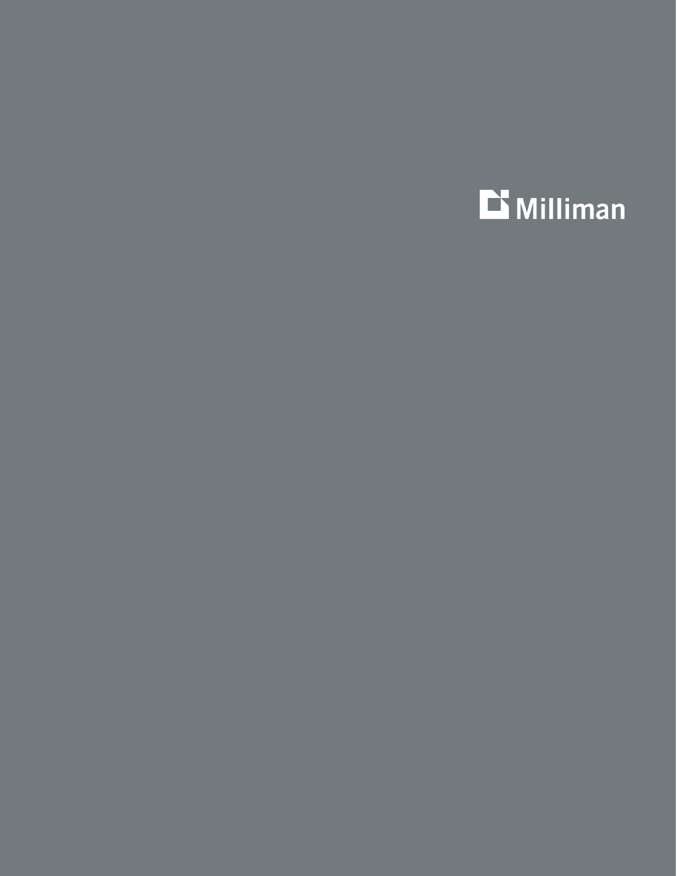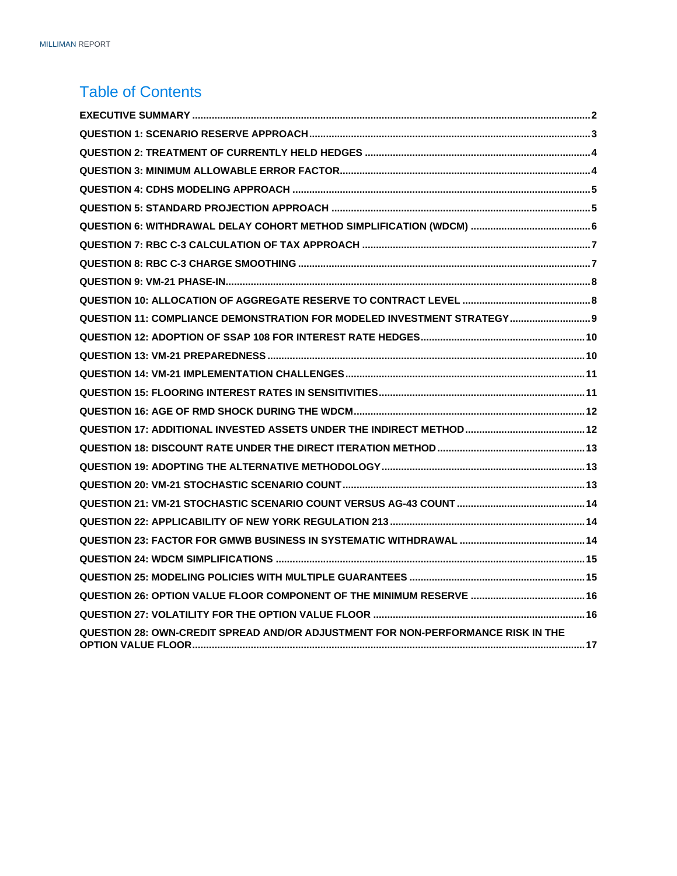#### Table of Contents

| QUESTION 11: COMPLIANCE DEMONSTRATION FOR MODELED INVESTMENT STRATEGY 9          |  |
|----------------------------------------------------------------------------------|--|
|                                                                                  |  |
|                                                                                  |  |
|                                                                                  |  |
|                                                                                  |  |
|                                                                                  |  |
|                                                                                  |  |
|                                                                                  |  |
|                                                                                  |  |
|                                                                                  |  |
|                                                                                  |  |
|                                                                                  |  |
|                                                                                  |  |
|                                                                                  |  |
|                                                                                  |  |
|                                                                                  |  |
|                                                                                  |  |
| QUESTION 28: OWN-CREDIT SPREAD AND/OR ADJUSTMENT FOR NON-PERFORMANCE RISK IN THE |  |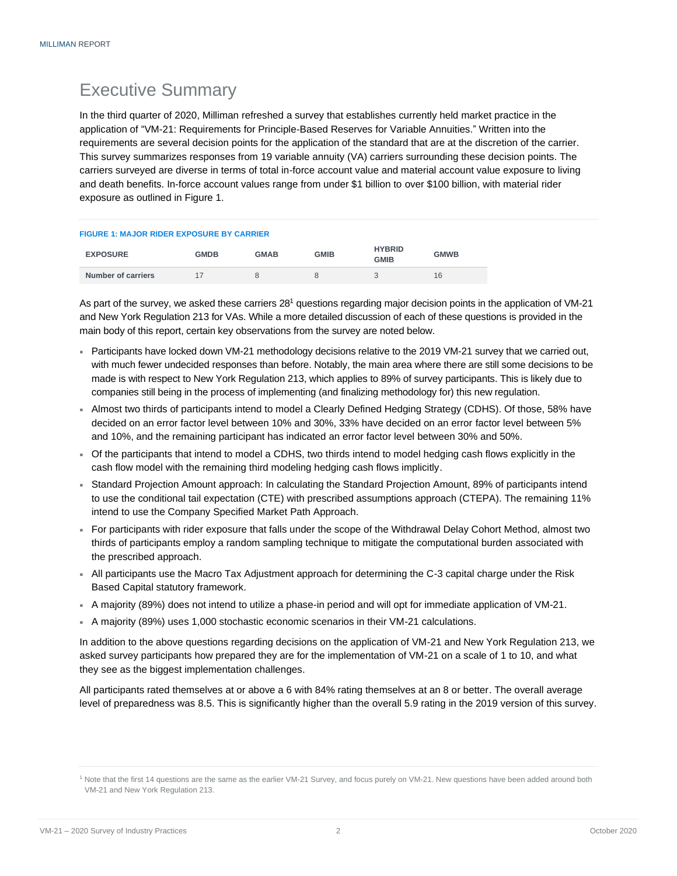### <span id="page-3-0"></span>Executive Summary

In the third quarter of 2020, Milliman refreshed a survey that establishes currently held market practice in the application of "VM-21: Requirements for Principle-Based Reserves for Variable Annuities." Written into the requirements are several decision points for the application of the standard that are at the discretion of the carrier. This survey summarizes responses from 19 variable annuity (VA) carriers surrounding these decision points. The carriers surveyed are diverse in terms of total in-force account value and material account value exposure to living and death benefits. In-force account values range from under \$1 billion to over \$100 billion, with material rider exposure as outlined in Figure 1.

| <b>FIGURE 1: MAJOR RIDER EXPOSURE BY CARRIER</b> |             |             |             |                              |             |
|--------------------------------------------------|-------------|-------------|-------------|------------------------------|-------------|
| <b>EXPOSURE</b>                                  | <b>GMDB</b> | <b>GMAB</b> | <b>GMIB</b> | <b>HYBRID</b><br><b>GMIB</b> | <b>GMWB</b> |
| Number of carriers                               | 17          |             | 8           |                              | 16          |

As part of the survey, we asked these carriers 28<sup>1</sup> questions regarding major decision points in the application of VM-21 and New York Regulation 213 for VAs. While a more detailed discussion of each of these questions is provided in the main body of this report, certain key observations from the survey are noted below.

- Participants have locked down VM-21 methodology decisions relative to the 2019 VM-21 survey that we carried out, with much fewer undecided responses than before. Notably, the main area where there are still some decisions to be made is with respect to New York Regulation 213, which applies to 89% of survey participants. This is likely due to companies still being in the process of implementing (and finalizing methodology for) this new regulation.
- Almost two thirds of participants intend to model a Clearly Defined Hedging Strategy (CDHS). Of those, 58% have decided on an error factor level between 10% and 30%, 33% have decided on an error factor level between 5% and 10%, and the remaining participant has indicated an error factor level between 30% and 50%.
- Of the participants that intend to model a CDHS, two thirds intend to model hedging cash flows explicitly in the cash flow model with the remaining third modeling hedging cash flows implicitly.
- Standard Projection Amount approach: In calculating the Standard Projection Amount, 89% of participants intend to use the conditional tail expectation (CTE) with prescribed assumptions approach (CTEPA). The remaining 11% intend to use the Company Specified Market Path Approach.
- For participants with rider exposure that falls under the scope of the Withdrawal Delay Cohort Method, almost two thirds of participants employ a random sampling technique to mitigate the computational burden associated with the prescribed approach.
- All participants use the Macro Tax Adjustment approach for determining the C-3 capital charge under the Risk Based Capital statutory framework.
- A majority (89%) does not intend to utilize a phase-in period and will opt for immediate application of VM-21.
- A majority (89%) uses 1,000 stochastic economic scenarios in their VM-21 calculations.

In addition to the above questions regarding decisions on the application of VM-21 and New York Regulation 213, we asked survey participants how prepared they are for the implementation of VM-21 on a scale of 1 to 10, and what they see as the biggest implementation challenges.

All participants rated themselves at or above a 6 with 84% rating themselves at an 8 or better. The overall average level of preparedness was 8.5. This is significantly higher than the overall 5.9 rating in the 2019 version of this survey.

<sup>1</sup> Note that the first 14 questions are the same as the earlier VM-21 Survey, and focus purely on VM-21. New questions have been added around both VM-21 and New York Regulation 213.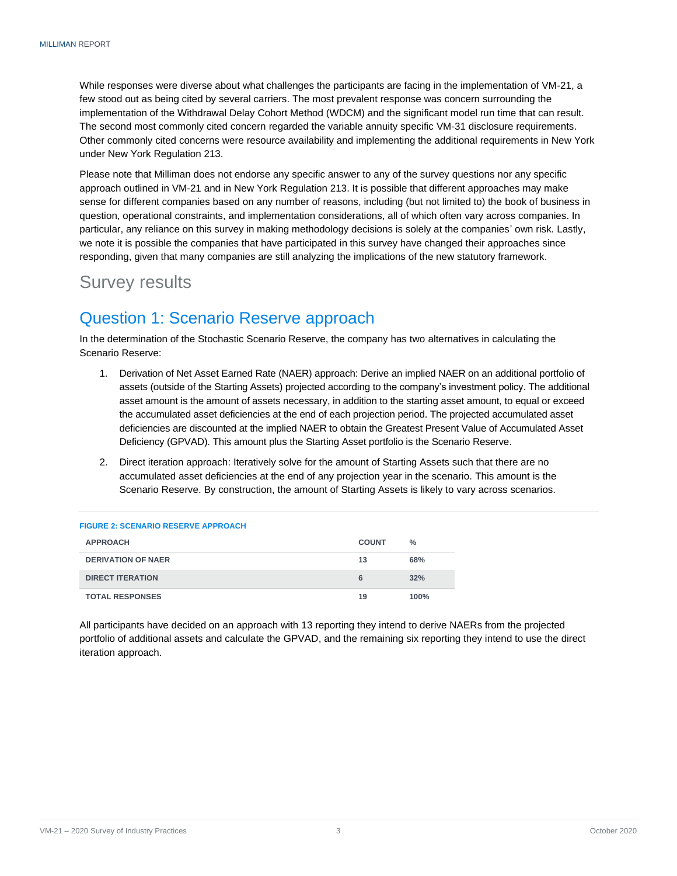While responses were diverse about what challenges the participants are facing in the implementation of VM-21, a few stood out as being cited by several carriers. The most prevalent response was concern surrounding the implementation of the Withdrawal Delay Cohort Method (WDCM) and the significant model run time that can result. The second most commonly cited concern regarded the variable annuity specific VM-31 disclosure requirements. Other commonly cited concerns were resource availability and implementing the additional requirements in New York under New York Regulation 213.

Please note that Milliman does not endorse any specific answer to any of the survey questions nor any specific approach outlined in VM-21 and in New York Regulation 213. It is possible that different approaches may make sense for different companies based on any number of reasons, including (but not limited to) the book of business in question, operational constraints, and implementation considerations, all of which often vary across companies. In particular, any reliance on this survey in making methodology decisions is solely at the companies' own risk. Lastly, we note it is possible the companies that have participated in this survey have changed their approaches since responding, given that many companies are still analyzing the implications of the new statutory framework.

### Survey results

### <span id="page-4-0"></span>Question 1: Scenario Reserve approach

In the determination of the Stochastic Scenario Reserve, the company has two alternatives in calculating the Scenario Reserve:

- 1. Derivation of Net Asset Earned Rate (NAER) approach: Derive an implied NAER on an additional portfolio of assets (outside of the Starting Assets) projected according to the company's investment policy. The additional asset amount is the amount of assets necessary, in addition to the starting asset amount, to equal or exceed the accumulated asset deficiencies at the end of each projection period. The projected accumulated asset deficiencies are discounted at the implied NAER to obtain the Greatest Present Value of Accumulated Asset Deficiency (GPVAD). This amount plus the Starting Asset portfolio is the Scenario Reserve.
- 2. Direct iteration approach: Iteratively solve for the amount of Starting Assets such that there are no accumulated asset deficiencies at the end of any projection year in the scenario. This amount is the Scenario Reserve. By construction, the amount of Starting Assets is likely to vary across scenarios.

| <b>FIGURE 2: SCENARIO RESERVE APPROACH</b> |              |      |
|--------------------------------------------|--------------|------|
| <b>APPROACH</b>                            | <b>COUNT</b> | $\%$ |
| <b>DERIVATION OF NAER</b>                  | 13           | 68%  |
| <b>DIRECT ITERATION</b>                    | 6            | 32%  |
| <b>TOTAL RESPONSES</b>                     | 19           | 100% |

<span id="page-4-1"></span>All participants have decided on an approach with 13 reporting they intend to derive NAERs from the projected portfolio of additional assets and calculate the GPVAD, and the remaining six reporting they intend to use the direct iteration approach.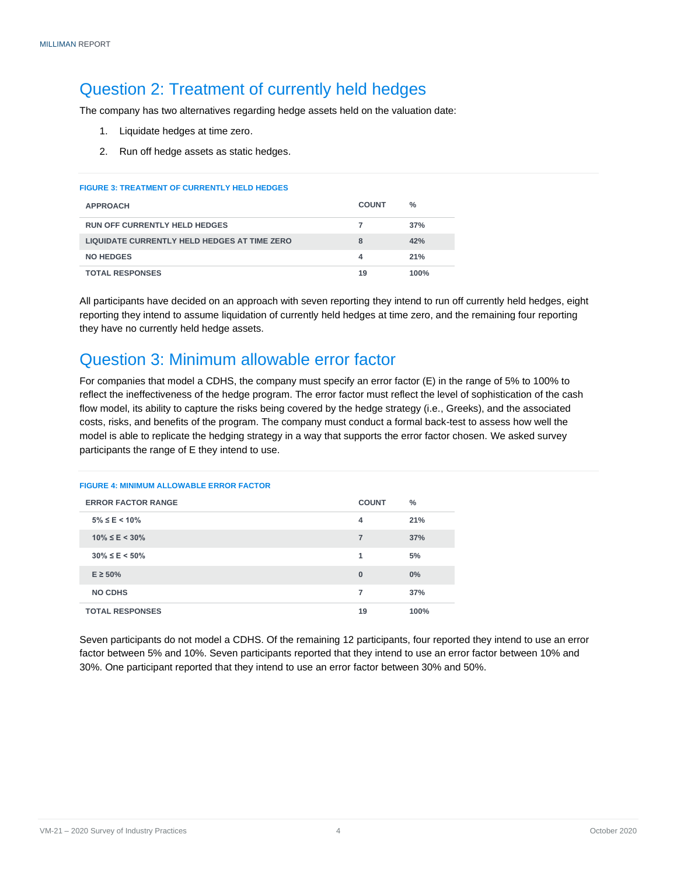### Question 2: Treatment of currently held hedges

The company has two alternatives regarding hedge assets held on the valuation date:

- 1. Liquidate hedges at time zero.
- 2. Run off hedge assets as static hedges.

#### **FIGURE 3: TREATMENT OF CURRENTLY HELD HEDGES**

| <b>APPROACH</b>                              | <b>COUNT</b> | $\frac{0}{2}$ |
|----------------------------------------------|--------------|---------------|
| <b>RUN OFF CURRENTLY HELD HEDGES</b>         |              | 37%           |
| LIQUIDATE CURRENTLY HELD HEDGES AT TIME ZERO | 8            | 42%           |
| <b>NO HEDGES</b>                             | 4            | 21%           |
| <b>TOTAL RESPONSES</b>                       | 19           | 100%          |

All participants have decided on an approach with seven reporting they intend to run off currently held hedges, eight reporting they intend to assume liquidation of currently held hedges at time zero, and the remaining four reporting they have no currently held hedge assets.

#### <span id="page-5-0"></span>Question 3: Minimum allowable error factor

For companies that model a CDHS, the company must specify an error factor (E) in the range of 5% to 100% to reflect the ineffectiveness of the hedge program. The error factor must reflect the level of sophistication of the cash flow model, its ability to capture the risks being covered by the hedge strategy (i.e., Greeks), and the associated costs, risks, and benefits of the program. The company must conduct a formal back-test to assess how well the model is able to replicate the hedging strategy in a way that supports the error factor chosen. We asked survey participants the range of E they intend to use.

#### **FIGURE 4: MINIMUM ALLOWABLE ERROR FACTOR ERROR FACTOR RANGE COUNT % 5% ≤ E < 10% 4 21% 10% ≤ E < 30% 7 37% 30% ≤ E < 50% 1 5% E ≥ 50% 0 0% NO CDHS 7 37% TOTAL RESPONSES 19 100%**

<span id="page-5-1"></span>Seven participants do not model a CDHS. Of the remaining 12 participants, four reported they intend to use an error factor between 5% and 10%. Seven participants reported that they intend to use an error factor between 10% and 30%. One participant reported that they intend to use an error factor between 30% and 50%.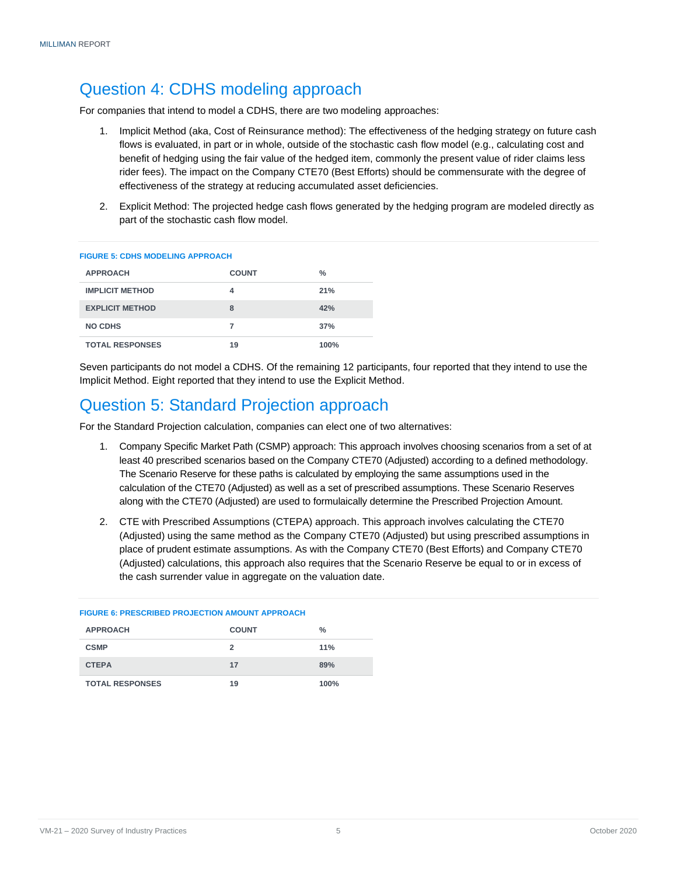### Question 4: CDHS modeling approach

For companies that intend to model a CDHS, there are two modeling approaches:

- 1. Implicit Method (aka, Cost of Reinsurance method): The effectiveness of the hedging strategy on future cash flows is evaluated, in part or in whole, outside of the stochastic cash flow model (e.g., calculating cost and benefit of hedging using the fair value of the hedged item, commonly the present value of rider claims less rider fees). The impact on the Company CTE70 (Best Efforts) should be commensurate with the degree of effectiveness of the strategy at reducing accumulated asset deficiencies.
- 2. Explicit Method: The projected hedge cash flows generated by the hedging program are modeled directly as part of the stochastic cash flow model.

#### **FIGURE 5: CDHS MODELING APPROACH**

| <b>APPROACH</b>        | <b>COUNT</b> | $\frac{0}{0}$ |
|------------------------|--------------|---------------|
| <b>IMPLICIT METHOD</b> | 4            | 21%           |
| <b>EXPLICIT METHOD</b> | 8            | 42%           |
| NO CDHS                | 7            | 37%           |
| <b>TOTAL RESPONSES</b> | 19           | 100%          |

Seven participants do not model a CDHS. Of the remaining 12 participants, four reported that they intend to use the Implicit Method. Eight reported that they intend to use the Explicit Method.

#### <span id="page-6-0"></span>Question 5: Standard Projection approach

For the Standard Projection calculation, companies can elect one of two alternatives:

- 1. Company Specific Market Path (CSMP) approach: This approach involves choosing scenarios from a set of at least 40 prescribed scenarios based on the Company CTE70 (Adjusted) according to a defined methodology. The Scenario Reserve for these paths is calculated by employing the same assumptions used in the calculation of the CTE70 (Adjusted) as well as a set of prescribed assumptions. These Scenario Reserves along with the CTE70 (Adjusted) are used to formulaically determine the Prescribed Projection Amount.
- 2. CTE with Prescribed Assumptions (CTEPA) approach. This approach involves calculating the CTE70 (Adjusted) using the same method as the Company CTE70 (Adjusted) but using prescribed assumptions in place of prudent estimate assumptions. As with the Company CTE70 (Best Efforts) and Company CTE70 (Adjusted) calculations, this approach also requires that the Scenario Reserve be equal to or in excess of the cash surrender value in aggregate on the valuation date.

| <b>FIGURE 6: PRESCRIBED PROJECTION AMOUNT APPROACH</b> |              |      |  |  |
|--------------------------------------------------------|--------------|------|--|--|
| <b>APPROACH</b>                                        | <b>COUNT</b> | $\%$ |  |  |
| <b>CSMP</b>                                            | 2            | 11%  |  |  |
| <b>CTEPA</b>                                           | 17           | 89%  |  |  |
| <b>TOTAL RESPONSES</b>                                 | 19           | 100% |  |  |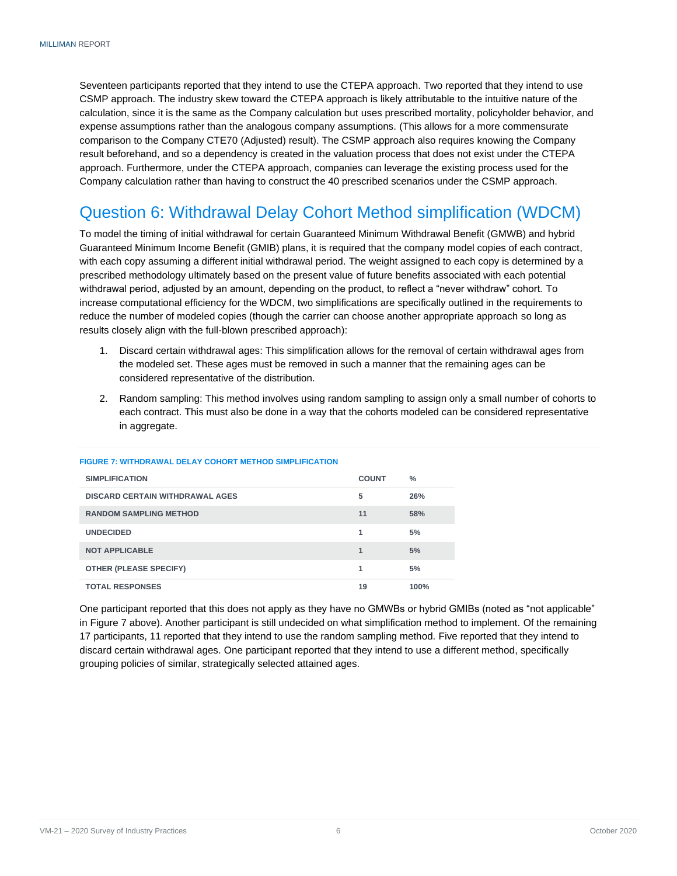Seventeen participants reported that they intend to use the CTEPA approach. Two reported that they intend to use CSMP approach. The industry skew toward the CTEPA approach is likely attributable to the intuitive nature of the calculation, since it is the same as the Company calculation but uses prescribed mortality, policyholder behavior, and expense assumptions rather than the analogous company assumptions. (This allows for a more commensurate comparison to the Company CTE70 (Adjusted) result). The CSMP approach also requires knowing the Company result beforehand, and so a dependency is created in the valuation process that does not exist under the CTEPA approach. Furthermore, under the CTEPA approach, companies can leverage the existing process used for the Company calculation rather than having to construct the 40 prescribed scenarios under the CSMP approach.

#### <span id="page-7-0"></span>Question 6: Withdrawal Delay Cohort Method simplification (WDCM)

To model the timing of initial withdrawal for certain Guaranteed Minimum Withdrawal Benefit (GMWB) and hybrid Guaranteed Minimum Income Benefit (GMIB) plans, it is required that the company model copies of each contract, with each copy assuming a different initial withdrawal period. The weight assigned to each copy is determined by a prescribed methodology ultimately based on the present value of future benefits associated with each potential withdrawal period, adjusted by an amount, depending on the product, to reflect a "never withdraw" cohort. To increase computational efficiency for the WDCM, two simplifications are specifically outlined in the requirements to reduce the number of modeled copies (though the carrier can choose another appropriate approach so long as results closely align with the full-blown prescribed approach):

- 1. Discard certain withdrawal ages: This simplification allows for the removal of certain withdrawal ages from the modeled set. These ages must be removed in such a manner that the remaining ages can be considered representative of the distribution.
- 2. Random sampling: This method involves using random sampling to assign only a small number of cohorts to each contract. This must also be done in a way that the cohorts modeled can be considered representative in aggregate.

| <b>SIMPLIFICATION</b>                  | <b>COUNT</b> | $\%$ |
|----------------------------------------|--------------|------|
| <b>DISCARD CERTAIN WITHDRAWAL AGES</b> | 5            | 26%  |
| <b>RANDOM SAMPLING METHOD</b>          | 11           | 58%  |
| <b>UNDECIDED</b>                       | 1            | 5%   |
| <b>NOT APPLICABLE</b>                  | 1            | 5%   |
| <b>OTHER (PLEASE SPECIFY)</b>          | 1            | 5%   |
| <b>TOTAL RESPONSES</b>                 | 19           | 100% |

#### **FIGURE 7: WITHDRAWAL DELAY COHORT METHOD SIMPLIFICATION**

<span id="page-7-1"></span>One participant reported that this does not apply as they have no GMWBs or hybrid GMIBs (noted as "not applicable" in Figure 7 above). Another participant is still undecided on what simplification method to implement. Of the remaining 17 participants, 11 reported that they intend to use the random sampling method. Five reported that they intend to discard certain withdrawal ages. One participant reported that they intend to use a different method, specifically grouping policies of similar, strategically selected attained ages.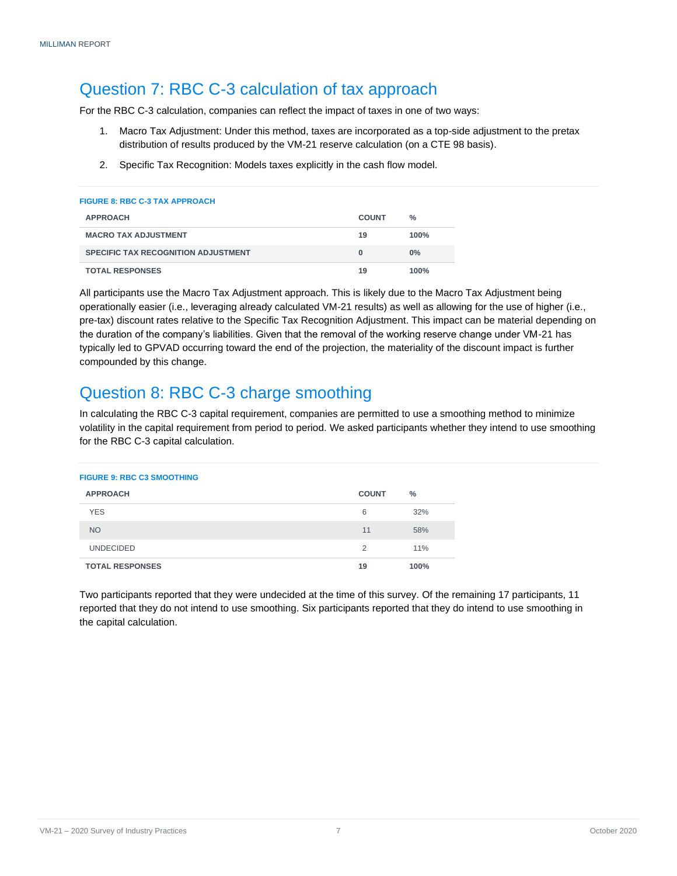### Question 7: RBC C-3 calculation of tax approach

For the RBC C-3 calculation, companies can reflect the impact of taxes in one of two ways:

- 1. Macro Tax Adjustment: Under this method, taxes are incorporated as a top-side adjustment to the pretax distribution of results produced by the VM-21 reserve calculation (on a CTE 98 basis).
- 2. Specific Tax Recognition: Models taxes explicitly in the cash flow model.

| <b>FIGURE 8: RBC C-3 TAX APPROACH</b>      |              |       |
|--------------------------------------------|--------------|-------|
| <b>APPROACH</b>                            | <b>COUNT</b> | %     |
| <b>MACRO TAX ADJUSTMENT</b>                | 19           | 100%  |
| <b>SPECIFIC TAX RECOGNITION ADJUSTMENT</b> | $\Omega$     | $0\%$ |
| <b>TOTAL RESPONSES</b>                     | 19           | 100%  |

All participants use the Macro Tax Adjustment approach. This is likely due to the Macro Tax Adjustment being operationally easier (i.e., leveraging already calculated VM-21 results) as well as allowing for the use of higher (i.e., pre-tax) discount rates relative to the Specific Tax Recognition Adjustment. This impact can be material depending on the duration of the company's liabilities. Given that the removal of the working reserve change under VM-21 has typically led to GPVAD occurring toward the end of the projection, the materiality of the discount impact is further compounded by this change.

### <span id="page-8-0"></span>Question 8: RBC C-3 charge smoothing

In calculating the RBC C-3 capital requirement, companies are permitted to use a smoothing method to minimize volatility in the capital requirement from period to period. We asked participants whether they intend to use smoothing for the RBC C-3 capital calculation.

| <b>FIGURE 9: RBC C3 SMOOTHING</b> |              |               |
|-----------------------------------|--------------|---------------|
| <b>APPROACH</b>                   | <b>COUNT</b> | $\frac{0}{0}$ |
| <b>YES</b>                        | 6            | 32%           |
| <b>NO</b>                         | 11           | 58%           |
| <b>UNDECIDED</b>                  | 2            | 11%           |
| <b>TOTAL RESPONSES</b>            | 19           | 100%          |

<span id="page-8-1"></span>Two participants reported that they were undecided at the time of this survey. Of the remaining 17 participants, 11 reported that they do not intend to use smoothing. Six participants reported that they do intend to use smoothing in the capital calculation.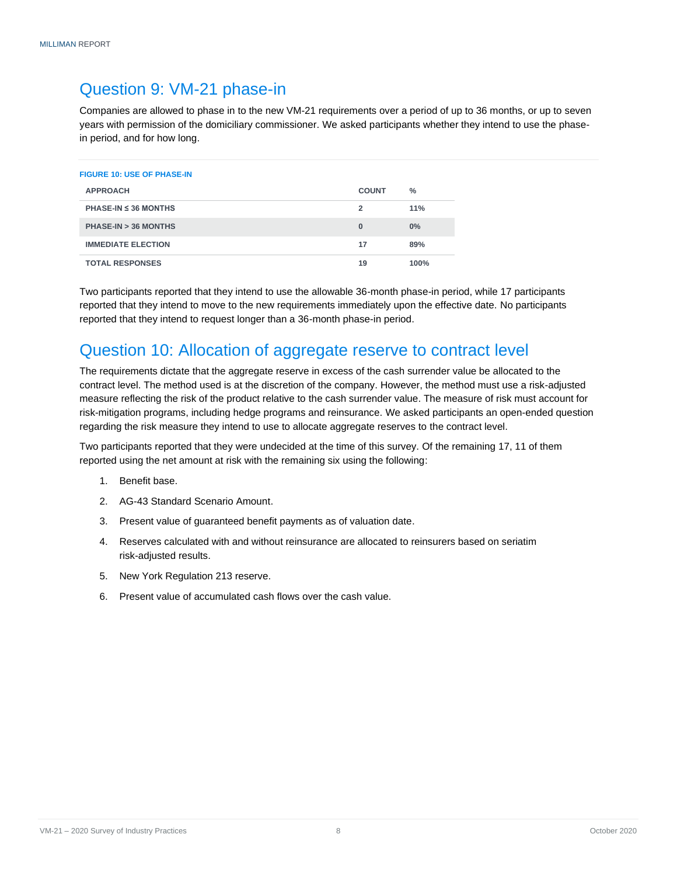#### Question 9: VM-21 phase-in

Companies are allowed to phase in to the new VM-21 requirements over a period of up to 36 months, or up to seven years with permission of the domiciliary commissioner. We asked participants whether they intend to use the phasein period, and for how long.

| <b>FIGURE 10: USE OF PHASE-IN</b>           |              |               |
|---------------------------------------------|--------------|---------------|
| <b>APPROACH</b>                             | <b>COUNT</b> | $\frac{0}{0}$ |
| <b>PHASE-IN <math>\leq</math> 36 MONTHS</b> | 2            | 11%           |
| PHASE-IN > 36 MONTHS                        | $\bf{0}$     | $0\%$         |
| <b>IMMEDIATE ELECTION</b>                   | 17           | 89%           |
| <b>TOTAL RESPONSES</b>                      | 19           | 100%          |

Two participants reported that they intend to use the allowable 36-month phase-in period, while 17 participants reported that they intend to move to the new requirements immediately upon the effective date. No participants reported that they intend to request longer than a 36-month phase-in period.

#### <span id="page-9-0"></span>Question 10: Allocation of aggregate reserve to contract level

The requirements dictate that the aggregate reserve in excess of the cash surrender value be allocated to the contract level. The method used is at the discretion of the company. However, the method must use a risk-adjusted measure reflecting the risk of the product relative to the cash surrender value. The measure of risk must account for risk-mitigation programs, including hedge programs and reinsurance. We asked participants an open-ended question regarding the risk measure they intend to use to allocate aggregate reserves to the contract level.

Two participants reported that they were undecided at the time of this survey. Of the remaining 17, 11 of them reported using the net amount at risk with the remaining six using the following:

- 1. Benefit base.
- 2. AG-43 Standard Scenario Amount.
- 3. Present value of guaranteed benefit payments as of valuation date.
- 4. Reserves calculated with and without reinsurance are allocated to reinsurers based on seriatim risk-adjusted results.
- 5. New York Regulation 213 reserve.
- <span id="page-9-1"></span>6. Present value of accumulated cash flows over the cash value.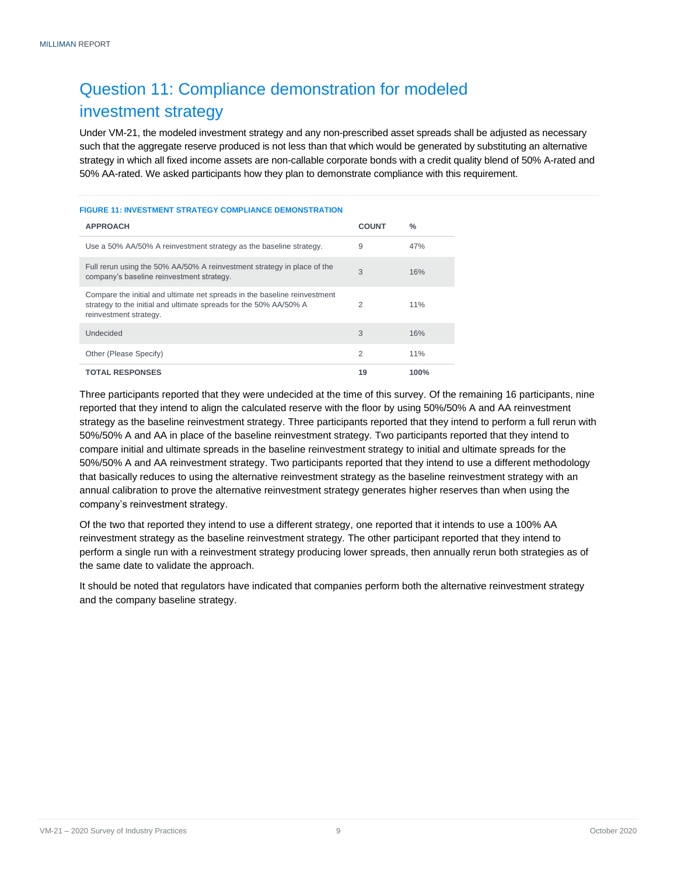### Question 11: Compliance demonstration for modeled investment strategy

Under VM-21, the modeled investment strategy and any non-prescribed asset spreads shall be adjusted as necessary such that the aggregate reserve produced is not less than that which would be generated by substituting an alternative strategy in which all fixed income assets are non-callable corporate bonds with a credit quality blend of 50% A-rated and 50% AA-rated. We asked participants how they plan to demonstrate compliance with this requirement.

#### **FIGURE 11: INVESTMENT STRATEGY COMPLIANCE DEMONSTRATION**

| <b>APPROACH</b>                                                                                                                                                          | <b>COUNT</b>   | $\frac{0}{0}$ |
|--------------------------------------------------------------------------------------------------------------------------------------------------------------------------|----------------|---------------|
| Use a 50% AA/50% A reinvestment strategy as the baseline strategy.                                                                                                       | 9              | 47%           |
| Full rerun using the 50% AA/50% A reinvestment strategy in place of the<br>company's baseline reinvestment strategy.                                                     | 3              | 16%           |
| Compare the initial and ultimate net spreads in the baseline reinvestment<br>strategy to the initial and ultimate spreads for the 50% AA/50% A<br>reinvestment strategy. | 2              | 11%           |
| Undecided                                                                                                                                                                | 3              | 16%           |
| Other (Please Specify)                                                                                                                                                   | $\overline{2}$ | 11%           |
| <b>TOTAL RESPONSES</b>                                                                                                                                                   | 19             | 100%          |

Three participants reported that they were undecided at the time of this survey. Of the remaining 16 participants, nine reported that they intend to align the calculated reserve with the floor by using 50%/50% A and AA reinvestment strategy as the baseline reinvestment strategy. Three participants reported that they intend to perform a full rerun with 50%/50% A and AA in place of the baseline reinvestment strategy. Two participants reported that they intend to compare initial and ultimate spreads in the baseline reinvestment strategy to initial and ultimate spreads for the 50%/50% A and AA reinvestment strategy. Two participants reported that they intend to use a different methodology that basically reduces to using the alternative reinvestment strategy as the baseline reinvestment strategy with an annual calibration to prove the alternative reinvestment strategy generates higher reserves than when using the company's reinvestment strategy.

Of the two that reported they intend to use a different strategy, one reported that it intends to use a 100% AA reinvestment strategy as the baseline reinvestment strategy. The other participant reported that they intend to perform a single run with a reinvestment strategy producing lower spreads, then annually rerun both strategies as of the same date to validate the approach.

<span id="page-10-0"></span>It should be noted that regulators have indicated that companies perform both the alternative reinvestment strategy and the company baseline strategy.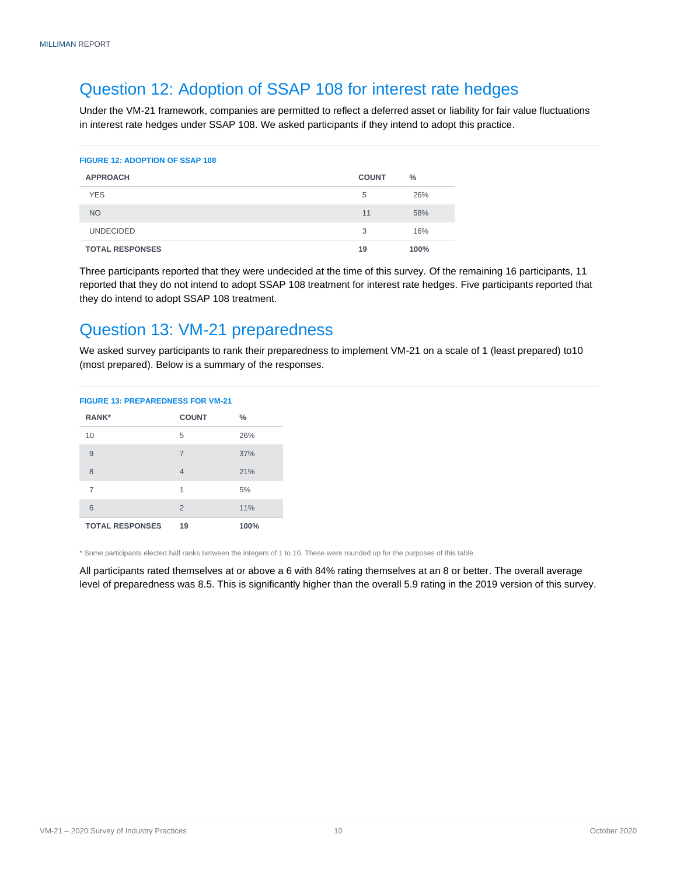#### Question 12: Adoption of SSAP 108 for interest rate hedges

Under the VM-21 framework, companies are permitted to reflect a deferred asset or liability for fair value fluctuations in interest rate hedges under SSAP 108. We asked participants if they intend to adopt this practice.

#### **FIGURE 12: ADOPTION OF SSAP 108**

| <b>APPROACH</b>        | <b>COUNT</b> | $\frac{0}{0}$ |
|------------------------|--------------|---------------|
| <b>YES</b>             | 5            | 26%           |
| <b>NO</b>              | 11           | 58%           |
| <b>UNDECIDED</b>       | 3            | 16%           |
| <b>TOTAL RESPONSES</b> | 19           | 100%          |

Three participants reported that they were undecided at the time of this survey. Of the remaining 16 participants, 11 reported that they do not intend to adopt SSAP 108 treatment for interest rate hedges. Five participants reported that they do intend to adopt SSAP 108 treatment.

#### <span id="page-11-0"></span>Question 13: VM-21 preparedness

We asked survey participants to rank their preparedness to implement VM-21 on a scale of 1 (least prepared) to10 (most prepared). Below is a summary of the responses.

| <b>FIGURE 13: PREPAREDNESS FOR VM-21</b> |                |      |  |
|------------------------------------------|----------------|------|--|
| <b>RANK*</b>                             | <b>COUNT</b>   | $\%$ |  |
| 10                                       | 5              | 26%  |  |
| 9                                        | $\overline{7}$ | 37%  |  |
| 8                                        | $\overline{4}$ | 21%  |  |
| 7                                        | 1              | 5%   |  |
| 6                                        | $\overline{2}$ | 11%  |  |
| <b>TOTAL RESPONSES</b>                   | 19             | 100% |  |

\* Some participants elected half ranks between the integers of 1 to 10. These were rounded up for the purposes of this table.

<span id="page-11-1"></span>All participants rated themselves at or above a 6 with 84% rating themselves at an 8 or better. The overall average level of preparedness was 8.5. This is significantly higher than the overall 5.9 rating in the 2019 version of this survey.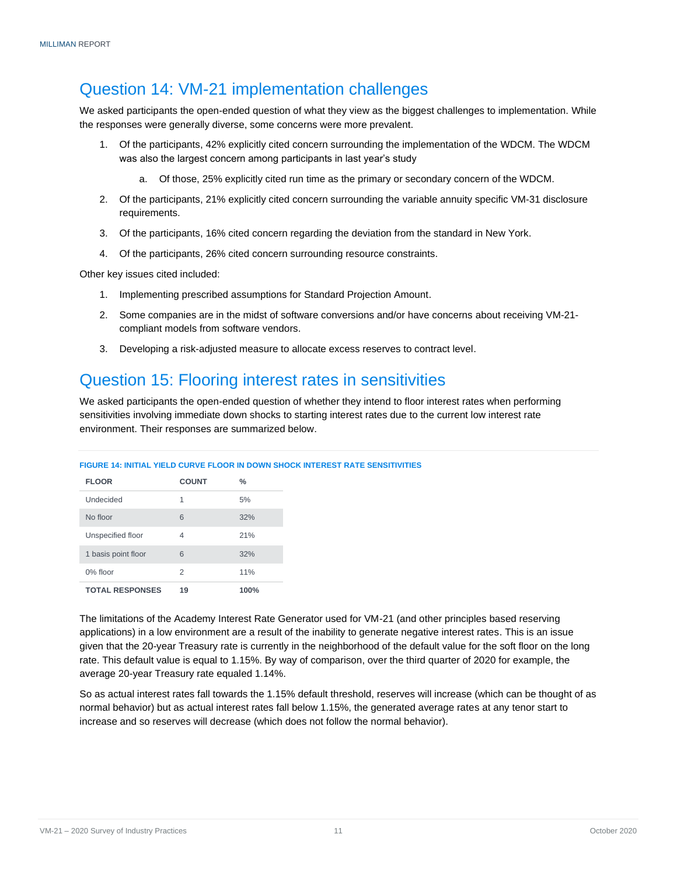#### Question 14: VM-21 implementation challenges

We asked participants the open-ended question of what they view as the biggest challenges to implementation. While the responses were generally diverse, some concerns were more prevalent.

- 1. Of the participants, 42% explicitly cited concern surrounding the implementation of the WDCM. The WDCM was also the largest concern among participants in last year's study
	- a. Of those, 25% explicitly cited run time as the primary or secondary concern of the WDCM.
- 2. Of the participants, 21% explicitly cited concern surrounding the variable annuity specific VM-31 disclosure requirements.
- 3. Of the participants, 16% cited concern regarding the deviation from the standard in New York.
- 4. Of the participants, 26% cited concern surrounding resource constraints.

Other key issues cited included:

- 1. Implementing prescribed assumptions for Standard Projection Amount.
- 2. Some companies are in the midst of software conversions and/or have concerns about receiving VM-21 compliant models from software vendors.
- 3. Developing a risk-adjusted measure to allocate excess reserves to contract level.

#### <span id="page-12-0"></span>Question 15: Flooring interest rates in sensitivities

We asked participants the open-ended question of whether they intend to floor interest rates when performing sensitivities involving immediate down shocks to starting interest rates due to the current low interest rate environment. Their responses are summarized below.

|  |  | FIGURE 14: INITIAL YIELD CURVE FLOOR IN DOWN SHOCK INTEREST RATE SENSITIVITIES |
|--|--|--------------------------------------------------------------------------------|
|  |  |                                                                                |

| <b>FLOOR</b>           | <b>COUNT</b> | $\%$ |
|------------------------|--------------|------|
| Undecided              | 1            | 5%   |
| No floor               | 6            | 32%  |
| Unspecified floor      | 4            | 21%  |
| 1 basis point floor    | 6            | 32%  |
| 0% floor               | 2            | 11%  |
| <b>TOTAL RESPONSES</b> | 19           | 100% |

The limitations of the Academy Interest Rate Generator used for VM-21 (and other principles based reserving applications) in a low environment are a result of the inability to generate negative interest rates. This is an issue given that the 20-year Treasury rate is currently in the neighborhood of the default value for the soft floor on the long rate. This default value is equal to 1.15%. By way of comparison, over the third quarter of 2020 for example, the average 20-year Treasury rate equaled 1.14%.

<span id="page-12-1"></span>So as actual interest rates fall towards the 1.15% default threshold, reserves will increase (which can be thought of as normal behavior) but as actual interest rates fall below 1.15%, the generated average rates at any tenor start to increase and so reserves will decrease (which does not follow the normal behavior).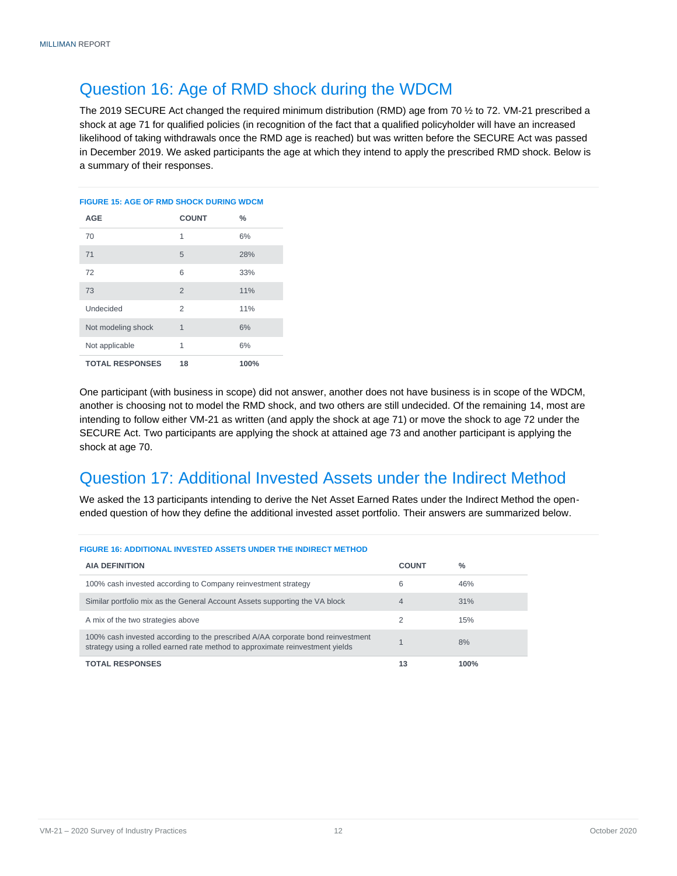#### Question 16: Age of RMD shock during the WDCM

The 2019 SECURE Act changed the required minimum distribution (RMD) age from 70 ½ to 72. VM-21 prescribed a shock at age 71 for qualified policies (in recognition of the fact that a qualified policyholder will have an increased likelihood of taking withdrawals once the RMD age is reached) but was written before the SECURE Act was passed in December 2019. We asked participants the age at which they intend to apply the prescribed RMD shock. Below is a summary of their responses.

### **FIGURE 15: AGE OF RMD SHOCK DURING WDCM AGE COUNT %** 70 1 6% 71 5 28%

| <b>TOTAL RESPONSES</b> | 18 | 100% |
|------------------------|----|------|
| Not applicable         | 1  | 6%   |
| Not modeling shock     | 1  | 6%   |
| Undecided              | 2  | 11%  |
| 73                     | 2  | 11%  |
| 72                     | 6  | 33%  |

One participant (with business in scope) did not answer, another does not have business is in scope of the WDCM, another is choosing not to model the RMD shock, and two others are still undecided. Of the remaining 14, most are intending to follow either VM-21 as written (and apply the shock at age 71) or move the shock to age 72 under the SECURE Act. Two participants are applying the shock at attained age 73 and another participant is applying the shock at age 70.

### <span id="page-13-0"></span>Question 17: Additional Invested Assets under the Indirect Method

We asked the 13 participants intending to derive the Net Asset Earned Rates under the Indirect Method the openended question of how they define the additional invested asset portfolio. Their answers are summarized below.

<span id="page-13-1"></span>

| <b>FIGURE 16: ADDITIONAL INVESTED ASSETS UNDER THE INDIRECT METHOD</b>                                                                                           |              |      |  |
|------------------------------------------------------------------------------------------------------------------------------------------------------------------|--------------|------|--|
| <b>AIA DEFINITION</b>                                                                                                                                            | <b>COUNT</b> | $\%$ |  |
| 100% cash invested according to Company reinvestment strategy                                                                                                    | 6            | 46%  |  |
| Similar portfolio mix as the General Account Assets supporting the VA block                                                                                      | 4            | 31%  |  |
| A mix of the two strategies above                                                                                                                                |              | 15%  |  |
| 100% cash invested according to the prescribed A/AA corporate bond reinvestment<br>strategy using a rolled earned rate method to approximate reinvestment yields |              | 8%   |  |
| <b>TOTAL RESPONSES</b>                                                                                                                                           | 13           | 100% |  |

#### **FIGURE 16: ADDITIONAL INVESTED ASSETS UNDER THE INDIRECT METHOD**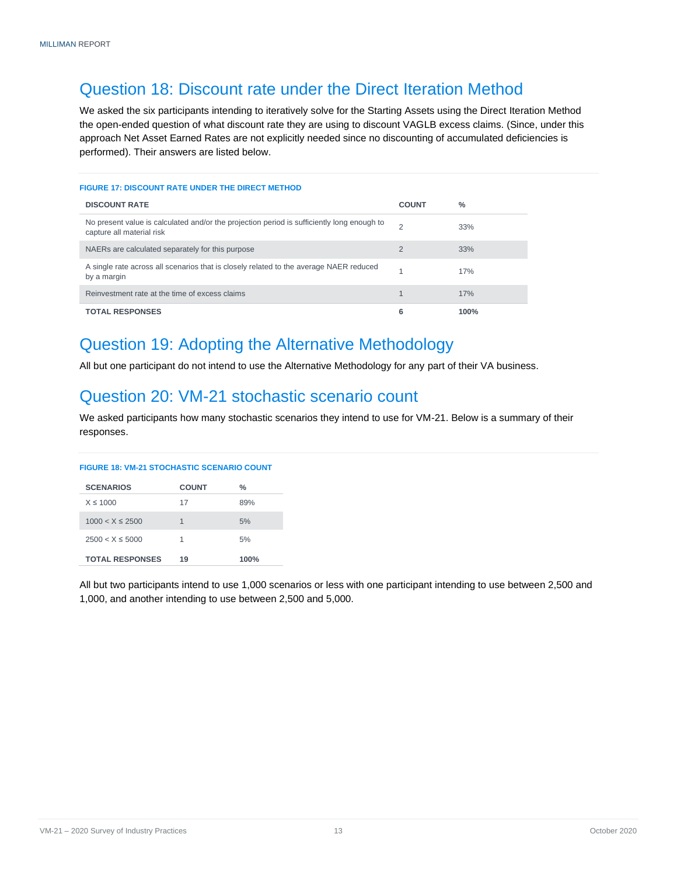### Question 18: Discount rate under the Direct Iteration Method

We asked the six participants intending to iteratively solve for the Starting Assets using the Direct Iteration Method the open-ended question of what discount rate they are using to discount VAGLB excess claims. (Since, under this approach Net Asset Earned Rates are not explicitly needed since no discounting of accumulated deficiencies is performed). Their answers are listed below.

#### **FIGURE 17: DISCOUNT RATE UNDER THE DIRECT METHOD**

| <b>DISCOUNT RATE</b>                                                                                                    | <b>COUNT</b>   | $\frac{0}{2}$ |
|-------------------------------------------------------------------------------------------------------------------------|----------------|---------------|
| No present value is calculated and/or the projection period is sufficiently long enough to<br>capture all material risk | ◠              | 33%           |
| NAERs are calculated separately for this purpose                                                                        | $\overline{2}$ | 33%           |
| A single rate across all scenarios that is closely related to the average NAER reduced<br>by a margin                   |                | 17%           |
| Reinvestment rate at the time of excess claims                                                                          |                | 17%           |
| <b>TOTAL RESPONSES</b>                                                                                                  | 6              | 100%          |

#### <span id="page-14-0"></span>Question 19: Adopting the Alternative Methodology

All but one participant do not intend to use the Alternative Methodology for any part of their VA business.

#### <span id="page-14-1"></span>Question 20: VM-21 stochastic scenario count

We asked participants how many stochastic scenarios they intend to use for VM-21. Below is a summary of their responses.

#### **FIGURE 18: VM-21 STOCHASTIC SCENARIO COUNT**

| <b>SCENARIOS</b>       | <b>COUNT</b> | $\frac{0}{2}$ |
|------------------------|--------------|---------------|
| $X \leq 1000$          | 17           | 89%           |
| $1000 < X \leq 2500$   | 1            | 5%            |
| $2500 < X \leq 5000$   | 1            | 5%            |
| <b>TOTAL RESPONSES</b> | 19           | 100%          |

<span id="page-14-2"></span>All but two participants intend to use 1,000 scenarios or less with one participant intending to use between 2,500 and 1,000, and another intending to use between 2,500 and 5,000.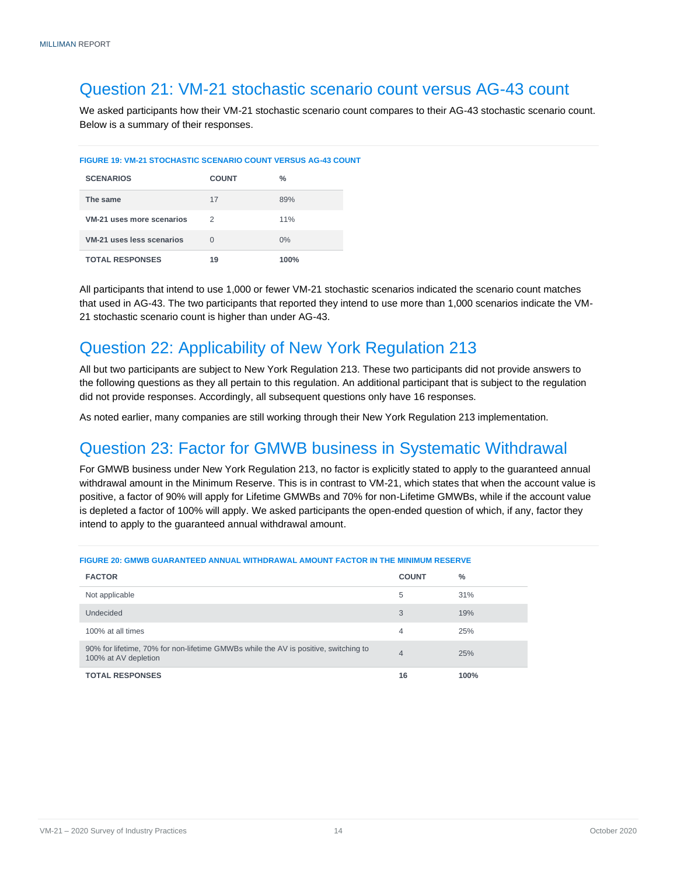#### Question 21: VM-21 stochastic scenario count versus AG-43 count

We asked participants how their VM-21 stochastic scenario count compares to their AG-43 stochastic scenario count. Below is a summary of their responses.

#### **FIGURE 19: VM-21 STOCHASTIC SCENARIO COUNT VERSUS AG-43 COUNT**

| <b>SCENARIOS</b>          | <b>COUNT</b> | $\frac{0}{2}$ |
|---------------------------|--------------|---------------|
| The same                  | 17           | 89%           |
| VM-21 uses more scenarios | 2            | 11%           |
| VM-21 uses less scenarios | $\Omega$     | $0\%$         |
| <b>TOTAL RESPONSES</b>    | 19           | 100%          |

All participants that intend to use 1,000 or fewer VM-21 stochastic scenarios indicated the scenario count matches that used in AG-43. The two participants that reported they intend to use more than 1,000 scenarios indicate the VM-21 stochastic scenario count is higher than under AG-43.

### <span id="page-15-0"></span>Question 22: Applicability of New York Regulation 213

All but two participants are subject to New York Regulation 213. These two participants did not provide answers to the following questions as they all pertain to this regulation. An additional participant that is subject to the regulation did not provide responses. Accordingly, all subsequent questions only have 16 responses.

As noted earlier, many companies are still working through their New York Regulation 213 implementation.

### <span id="page-15-1"></span>Question 23: Factor for GMWB business in Systematic Withdrawal

For GMWB business under New York Regulation 213, no factor is explicitly stated to apply to the guaranteed annual withdrawal amount in the Minimum Reserve. This is in contrast to VM-21, which states that when the account value is positive, a factor of 90% will apply for Lifetime GMWBs and 70% for non-Lifetime GMWBs, while if the account value is depleted a factor of 100% will apply. We asked participants the open-ended question of which, if any, factor they intend to apply to the guaranteed annual withdrawal amount.

<span id="page-15-2"></span>

| <b>FACTOR</b>                                                                                               | <b>COUNT</b>   | $\%$ |
|-------------------------------------------------------------------------------------------------------------|----------------|------|
| Not applicable                                                                                              | 5              | 31%  |
| Undecided                                                                                                   | 3              | 19%  |
| 100% at all times                                                                                           | 4              | 25%  |
| 90% for lifetime, 70% for non-lifetime GMWBs while the AV is positive, switching to<br>100% at AV depletion | $\overline{4}$ | 25%  |
| <b>TOTAL RESPONSES</b>                                                                                      | 16             | 100% |

#### **FIGURE 20: GMWB GUARANTEED ANNUAL WITHDRAWAL AMOUNT FACTOR IN THE MINIMUM RESERVE**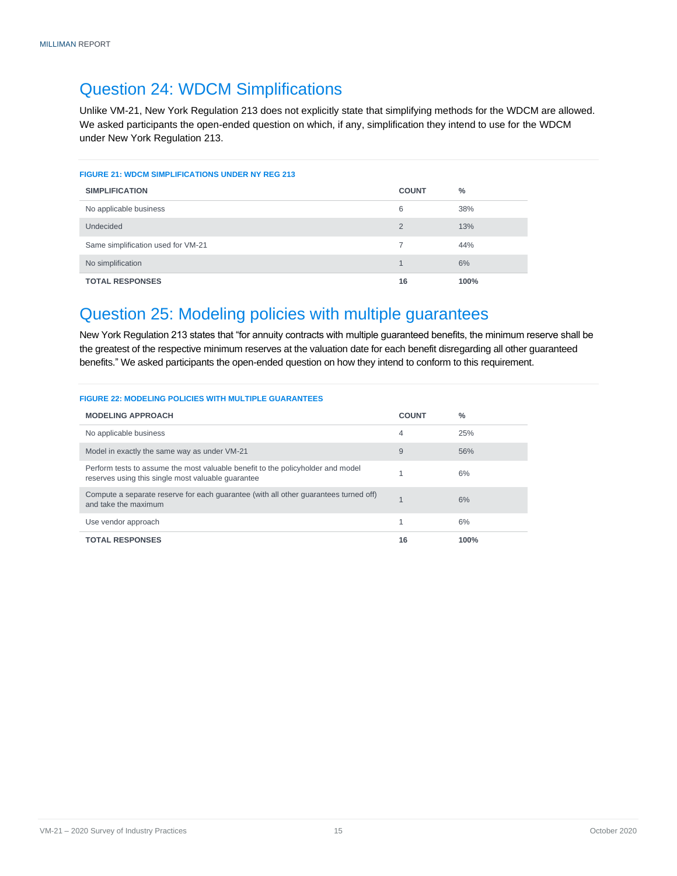#### Question 24: WDCM Simplifications

Unlike VM-21, New York Regulation 213 does not explicitly state that simplifying methods for the WDCM are allowed. We asked participants the open-ended question on which, if any, simplification they intend to use for the WDCM under New York Regulation 213.

| <b>FIGURE 21: WDCM SIMPLIFICATIONS UNDER NY REG 213</b> |                |      |  |
|---------------------------------------------------------|----------------|------|--|
| <b>SIMPLIFICATION</b>                                   | <b>COUNT</b>   | $\%$ |  |
| No applicable business                                  | 6              | 38%  |  |
| <b>Undecided</b>                                        | $\overline{2}$ | 13%  |  |
| Same simplification used for VM-21                      |                | 44%  |  |
| No simplification                                       | $\overline{A}$ | 6%   |  |
| <b>TOTAL RESPONSES</b>                                  | 16             | 100% |  |

#### <span id="page-16-0"></span>Question 25: Modeling policies with multiple guarantees

New York Regulation 213 states that "for annuity contracts with multiple guaranteed benefits, the minimum reserve shall be the greatest of the respective minimum reserves at the valuation date for each benefit disregarding all other guaranteed benefits." We asked participants the open-ended question on how they intend to conform to this requirement.

<span id="page-16-1"></span>

| <b>MODELING APPROACH</b>                                                                                                              | <b>COUNT</b> | $\frac{0}{2}$ |
|---------------------------------------------------------------------------------------------------------------------------------------|--------------|---------------|
| No applicable business                                                                                                                | 4            | 25%           |
| Model in exactly the same way as under VM-21                                                                                          | 9            | 56%           |
| Perform tests to assume the most valuable benefit to the policyholder and model<br>reserves using this single most valuable quarantee |              | 6%            |
| Compute a separate reserve for each guarantee (with all other guarantees turned off)<br>and take the maximum                          | 1            | 6%            |
| Use vendor approach                                                                                                                   | 1            | 6%            |
| <b>TOTAL RESPONSES</b>                                                                                                                | 16           | 100%          |

#### VM-21 – 2020 Survey of Industry Practices and the state of the state 15 october 2020 Survey of Industry Practices and the state of the state of the state of the state of the state of the state of the state of the state of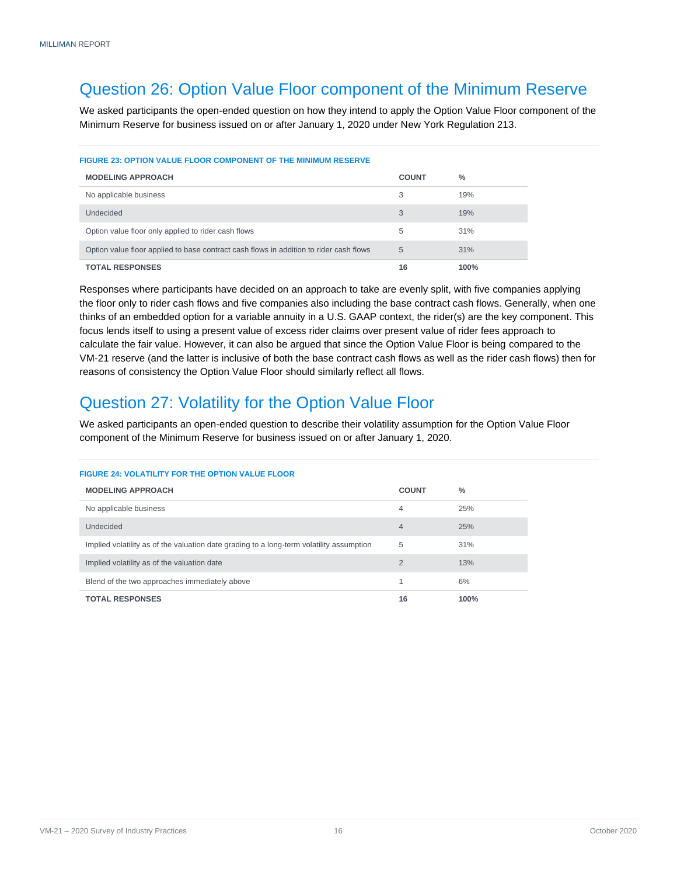#### Question 26: Option Value Floor component of the Minimum Reserve

We asked participants the open-ended question on how they intend to apply the Option Value Floor component of the Minimum Reserve for business issued on or after January 1, 2020 under New York Regulation 213.

#### **FIGURE 23: OPTION VALUE FLOOR COMPONENT OF THE MINIMUM RESERVE**

| <b>MODELING APPROACH</b>                                                               | <b>COUNT</b> | $\frac{0}{0}$ |
|----------------------------------------------------------------------------------------|--------------|---------------|
| No applicable business                                                                 | 3            | 19%           |
| Undecided                                                                              | 3            | 19%           |
| Option value floor only applied to rider cash flows                                    | 5            | 31%           |
| Option value floor applied to base contract cash flows in addition to rider cash flows | 5            | 31%           |
| <b>TOTAL RESPONSES</b>                                                                 | 16           | 100%          |

Responses where participants have decided on an approach to take are evenly split, with five companies applying the floor only to rider cash flows and five companies also including the base contract cash flows. Generally, when one thinks of an embedded option for a variable annuity in a U.S. GAAP context, the rider(s) are the key component. This focus lends itself to using a present value of excess rider claims over present value of rider fees approach to calculate the fair value. However, it can also be argued that since the Option Value Floor is being compared to the VM-21 reserve (and the latter is inclusive of both the base contract cash flows as well as the rider cash flows) then for reasons of consistency the Option Value Floor should similarly reflect all flows.

### <span id="page-17-0"></span>Question 27: Volatility for the Option Value Floor

We asked participants an open-ended question to describe their volatility assumption for the Option Value Floor component of the Minimum Reserve for business issued on or after January 1, 2020.

#### **FIGURE 24: VOLATILITY FOR THE OPTION VALUE FLOOR**

<span id="page-17-1"></span>

| <b>MODELING APPROACH</b>                                                                 | <b>COUNT</b> | $\%$ |
|------------------------------------------------------------------------------------------|--------------|------|
| No applicable business                                                                   | 4            | 25%  |
| Undecided                                                                                | 4            | 25%  |
| Implied volatility as of the valuation date grading to a long-term volatility assumption | 5            | 31%  |
| Implied volatility as of the valuation date                                              | 2            | 13%  |
| Blend of the two approaches immediately above                                            |              | 6%   |
| <b>TOTAL RESPONSES</b>                                                                   | 16           | 100% |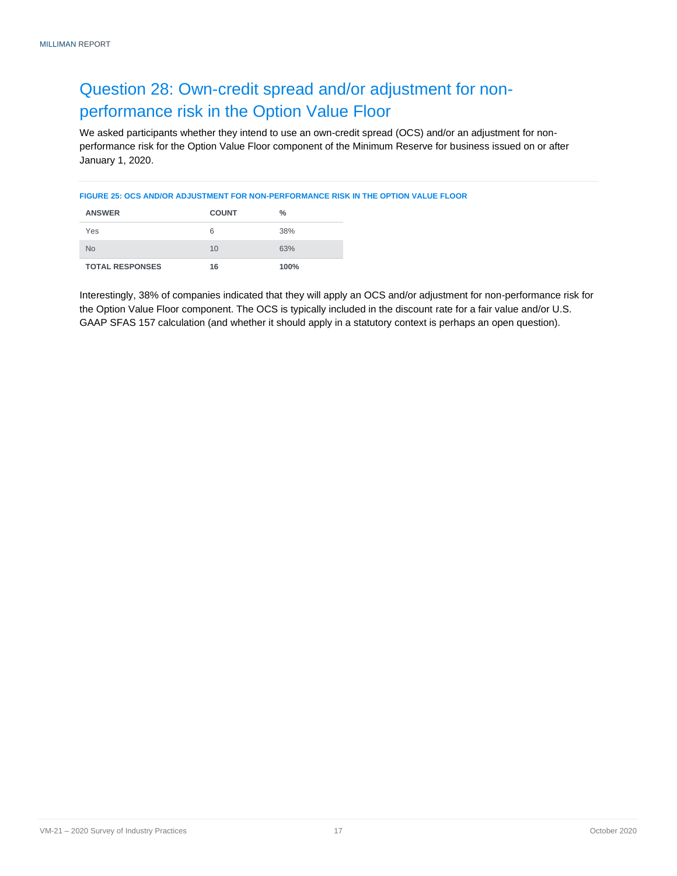### Question 28: Own-credit spread and/or adjustment for nonperformance risk in the Option Value Floor

We asked participants whether they intend to use an own-credit spread (OCS) and/or an adjustment for nonperformance risk for the Option Value Floor component of the Minimum Reserve for business issued on or after January 1, 2020.

#### **FIGURE 25: OCS AND/OR ADJUSTMENT FOR NON-PERFORMANCE RISK IN THE OPTION VALUE FLOOR**

| <b>ANSWER</b>          | <b>COUNT</b> | %    |
|------------------------|--------------|------|
| Yes                    | 6            | 38%  |
| <b>No</b>              | 10           | 63%  |
| <b>TOTAL RESPONSES</b> | 16           | 100% |

Interestingly, 38% of companies indicated that they will apply an OCS and/or adjustment for non-performance risk for the Option Value Floor component. The OCS is typically included in the discount rate for a fair value and/or U.S. GAAP SFAS 157 calculation (and whether it should apply in a statutory context is perhaps an open question).